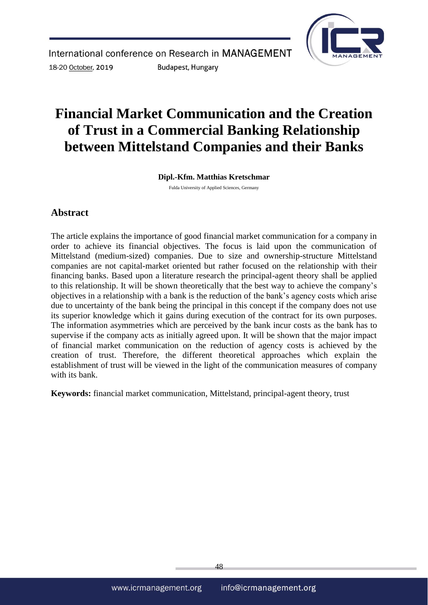

# **Financial Market Communication and the Creation of Trust in a Commercial Banking Relationship between Mittelstand Companies and their Banks**

**Dipl.-Kfm. Matthias Kretschmar**

Fulda University of Applied Sciences, Germany

## **Abstract**

The article explains the importance of good financial market communication for a company in order to achieve its financial objectives. The focus is laid upon the communication of Mittelstand (medium-sized) companies. Due to size and ownership-structure Mittelstand companies are not capital-market oriented but rather focused on the relationship with their financing banks. Based upon a literature research the principal-agent theory shall be applied to this relationship. It will be shown theoretically that the best way to achieve the company's objectives in a relationship with a bank is the reduction of the bank's agency costs which arise due to uncertainty of the bank being the principal in this concept if the company does not use its superior knowledge which it gains during execution of the contract for its own purposes. The information asymmetries which are perceived by the bank incur costs as the bank has to supervise if the company acts as initially agreed upon. It will be shown that the major impact of financial market communication on the reduction of agency costs is achieved by the creation of trust. Therefore, the different theoretical approaches which explain the establishment of trust will be viewed in the light of the communication measures of company with its bank.

**Keywords:** financial market communication, Mittelstand, principal-agent theory, trust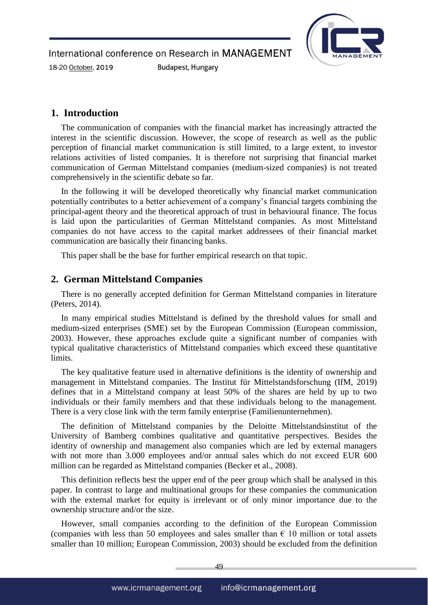International conference on Research in MANAGEMENT 18-20 October, 2019 **Budapest, Hungary** 



#### **1. Introduction**

The communication of companies with the financial market has increasingly attracted the interest in the scientific discussion. However, the scope of research as well as the public perception of financial market communication is still limited, to a large extent, to investor relations activities of listed companies. It is therefore not surprising that financial market communication of German Mittelstand companies (medium-sized companies) is not treated comprehensively in the scientific debate so far.

In the following it will be developed theoretically why financial market communication potentially contributes to a better achievement of a company's financial targets combining the principal-agent theory and the theoretical approach of trust in behavioural finance. The focus is laid upon the particularities of German Mittelstand companies. As most Mittelstand companies do not have access to the capital market addressees of their financial market communication are basically their financing banks.

This paper shall be the base for further empirical research on that topic.

### **2. German Mittelstand Companies**

There is no generally accepted definition for German Mittelstand companies in literature (Peters, 2014).

In many empirical studies Mittelstand is defined by the threshold values for small and medium-sized enterprises (SME) set by the European Commission (European commission, 2003). However, these approaches exclude quite a significant number of companies with typical qualitative characteristics of Mittelstand companies which exceed these quantitative limits.

The key qualitative feature used in alternative definitions is the identity of ownership and management in Mittelstand companies. The Institut für Mittelstandsforschung (IfM, 2019) defines that in a Mittelstand company at least 50% of the shares are held by up to two individuals or their family members and that these individuals belong to the management. There is a very close link with the term family enterprise (Familienunternehmen).

The definition of Mittelstand companies by the Deloitte Mittelstandsinstitut of the University of Bamberg combines qualitative and quantitative perspectives. Besides the identity of ownership and management also companies which are led by external managers with not more than 3.000 employees and/or annual sales which do not exceed EUR 600 million can be regarded as Mittelstand companies (Becker et al., 2008).

This definition reflects best the upper end of the peer group which shall be analysed in this paper. In contrast to large and multinational groups for these companies the communication with the external market for equity is irrelevant or of only minor importance due to the ownership structure and/or the size.

However, small companies according to the definition of the European Commission (companies with less than 50 employees and sales smaller than  $\epsilon$  10 million or total assets smaller than 10 million; European Commission, 2003) should be excluded from the definition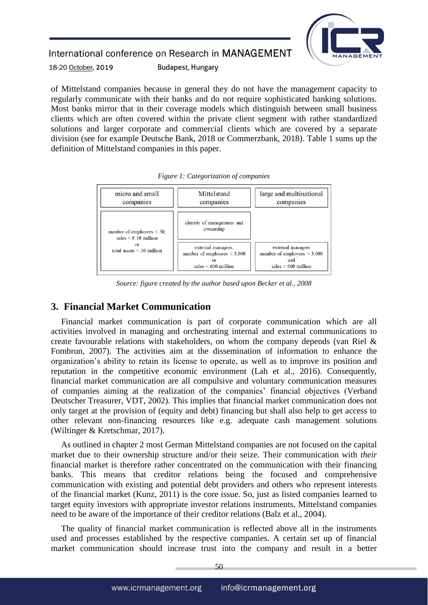

18-20 October, 2019 **Budapest, Hungary** 

of Mittelstand companies because in general they do not have the management capacity to regularly communicate with their banks and do not require sophisticated banking solutions. Most banks mirror that in their coverage models which distinguish between small business clients which are often covered within the private client segment with rather standardized solutions and larger corporate and commercial clients which are covered by a separate division (see for example Deutsche Bank, 2018 or Commerzbank, 2018). Table 1 sums up the definition of Mittelstand companies in this paper.



*Figure 1: Categorization of companies*

*Source: figure created by the author based upon Becker et al., 2008*

### **3. Financial Market Communication**

Financial market communication is part of corporate communication which are all activities involved in managing and orchestrating internal and external communications to create favourable relations with stakeholders, on whom the company depends (van Riel & Fombrun, 2007). The activities aim at the dissemination of information to enhance the organization's ability to retain its license to operate, as well as to improve its position and reputation in the competitive economic environment (Lah et al., 2016). Consequently, financial market communication are all compulsive and voluntary communication measures of companies aiming at the realization of the companies' financial objectives (Verband Deutscher Treasurer, VDT, 2002). This implies that financial market communication does not only target at the provision of (equity and debt) financing but shall also help to get access to other relevant non-financing resources like e.g. adequate cash management solutions (Wiltinger & Kretschmar, 2017).

As outlined in chapter 2 most German Mittelstand companies are not focused on the capital market due to their ownership structure and/or their seize. Their communication with *their* financial market is therefore rather concentrated on the communication with their financing banks. This means that creditor relations being the focused and comprehensive communication with existing and potential debt providers and others who represent interests of the financial market (Kunz, 2011) is the core issue. So, just as listed companies learned to target equity investors with appropriate investor relations instruments, Mittelstand companies need to be aware of the importance of their creditor relations (Balz et al., 2004).

The quality of financial market communication is reflected above all in the instruments used and processes established by the respective companies. A certain set up of financial market communication should increase trust into the company and result in a better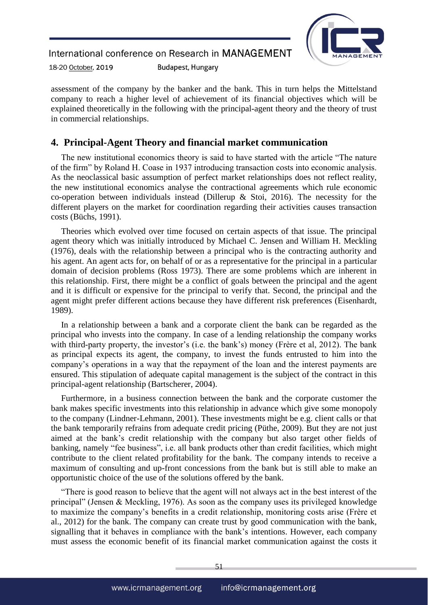

18-20 October, 2019 **Budapest, Hungary** 

assessment of the company by the banker and the bank. This in turn helps the Mittelstand company to reach a higher level of achievement of its financial objectives which will be explained theoretically in the following with the principal-agent theory and the theory of trust in commercial relationships.

## **4. Principal-Agent Theory and financial market communication**

The new institutional economics theory is said to have started with the article "The nature of the firm" by Roland H. Coase in 1937 introducing transaction costs into economic analysis. As the neoclassical basic assumption of perfect market relationships does not reflect reality, the new institutional economics analyse the contractional agreements which rule economic co-operation between individuals instead (Dillerup  $\&$  Stoi, 2016). The necessity for the different players on the market for coordination regarding their activities causes transaction costs (Büchs, 1991).

Theories which evolved over time focused on certain aspects of that issue. The principal agent theory which was initially introduced by Michael C. Jensen and William H. Meckling (1976), deals with the relationship between a principal who is the contracting authority and his agent. An agent acts for, on behalf of or as a representative for the principal in a particular domain of decision problems (Ross 1973). There are some problems which are inherent in this relationship. First, there might be a conflict of goals between the principal and the agent and it is difficult or expensive for the principal to verify that. Second, the principal and the agent might prefer different actions because they have different risk preferences (Eisenhardt, 1989).

In a relationship between a bank and a corporate client the bank can be regarded as the principal who invests into the company. In case of a lending relationship the company works with third-party property, the investor's (i.e. the bank's) money (Frère et al, 2012). The bank as principal expects its agent, the company, to invest the funds entrusted to him into the company's operations in a way that the repayment of the loan and the interest payments are ensured. This stipulation of adequate capital management is the subject of the contract in this principal-agent relationship (Bartscherer, 2004).

Furthermore, in a business connection between the bank and the corporate customer the bank makes specific investments into this relationship in advance which give some monopoly to the company (Lindner-Lehmann, 2001). These investments might be e.g. client calls or that the bank temporarily refrains from adequate credit pricing (Püthe, 2009). But they are not just aimed at the bank's credit relationship with the company but also target other fields of banking, namely "fee business", i.e. all bank products other than credit facilities, which might contribute to the client related profitability for the bank. The company intends to receive a maximum of consulting and up-front concessions from the bank but is still able to make an opportunistic choice of the use of the solutions offered by the bank.

"There is good reason to believe that the agent will not always act in the best interest of the principal" (Jensen & Meckling, 1976). As soon as the company uses its privileged knowledge to maximize the company's benefits in a credit relationship, monitoring costs arise (Frère et al., 2012) for the bank. The company can create trust by good communication with the bank, signalling that it behaves in compliance with the bank's intentions. However, each company must assess the economic benefit of its financial market communication against the costs it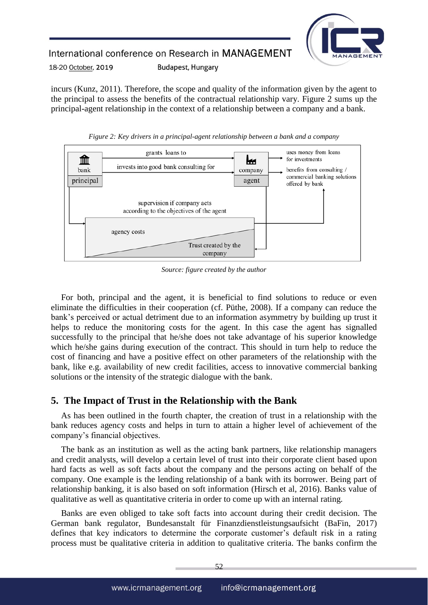

#### International conference on Research in MANAGEMENT 18-20 October, 2019 **Budapest, Hungary**

incurs (Kunz, 2011). Therefore, the scope and quality of the information given by the agent to the principal to assess the benefits of the contractual relationship vary. Figure 2 sums up the principal-agent relationship in the context of a relationship between a company and a bank.



*Figure 2: Key drivers in a principal-agent relationship between a bank and a company*

*Source: figure created by the author*

For both, principal and the agent, it is beneficial to find solutions to reduce or even eliminate the difficulties in their cooperation (cf. Püthe, 2008). If a company can reduce the bank's perceived or actual detriment due to an information asymmetry by building up trust it helps to reduce the monitoring costs for the agent. In this case the agent has signalled successfully to the principal that he/she does not take advantage of his superior knowledge which he/she gains during execution of the contract. This should in turn help to reduce the cost of financing and have a positive effect on other parameters of the relationship with the bank, like e.g. availability of new credit facilities, access to innovative commercial banking solutions or the intensity of the strategic dialogue with the bank.

## **5. The Impact of Trust in the Relationship with the Bank**

As has been outlined in the fourth chapter, the creation of trust in a relationship with the bank reduces agency costs and helps in turn to attain a higher level of achievement of the company's financial objectives.

The bank as an institution as well as the acting bank partners, like relationship managers and credit analysts, will develop a certain level of trust into their corporate client based upon hard facts as well as soft facts about the company and the persons acting on behalf of the company. One example is the lending relationship of a bank with its borrower. Being part of relationship banking, it is also based on soft information (Hirsch et al, 2016). Banks value of qualitative as well as quantitative criteria in order to come up with an internal rating.

Banks are even obliged to take soft facts into account during their credit decision. The German bank regulator, Bundesanstalt für Finanzdienstleistungsaufsicht (BaFin, 2017) defines that key indicators to determine the corporate customer's default risk in a rating process must be qualitative criteria in addition to qualitative criteria. The banks confirm the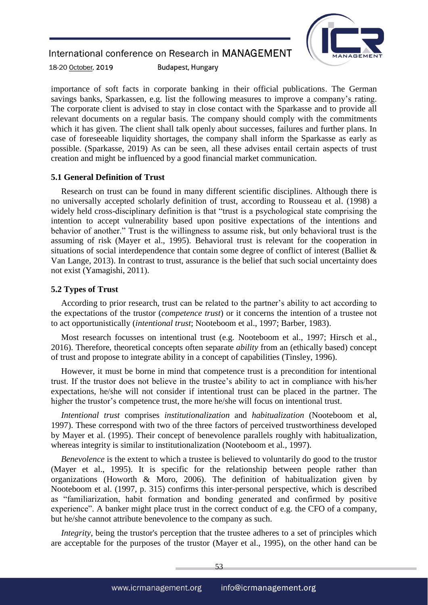**Budapest, Hungary** 



18-20 October, 2019

importance of soft facts in corporate banking in their official publications. The German savings banks, Sparkassen, e.g. list the following measures to improve a company's rating. The corporate client is advised to stay in close contact with the Sparkasse and to provide all relevant documents on a regular basis. The company should comply with the commitments which it has given. The client shall talk openly about successes, failures and further plans. In case of foreseeable liquidity shortages, the company shall inform the Sparkasse as early as possible. (Sparkasse, 2019) As can be seen, all these advises entail certain aspects of trust creation and might be influenced by a good financial market communication.

#### **5.1 General Definition of Trust**

Research on trust can be found in many different scientific disciplines. Although there is no universally accepted scholarly definition of trust, according to Rousseau et al. (1998) a widely held cross-disciplinary definition is that "trust is a psychological state comprising the intention to accept vulnerability based upon positive expectations of the intentions and behavior of another." Trust is the willingness to assume risk, but only behavioral trust is the assuming of risk (Mayer et al., 1995). Behavioral trust is relevant for the cooperation in situations of social interdependence that contain some degree of conflict of interest (Balliet & Van Lange, 2013). In contrast to trust, assurance is the belief that such social uncertainty does not exist (Yamagishi, 2011).

#### **5.2 Types of Trust**

According to prior research, trust can be related to the partner's ability to act according to the expectations of the trustor (*competence trust*) or it concerns the intention of a trustee not to act opportunistically (*intentional trust*; Nooteboom et al., 1997; Barber, 1983).

Most research focusses on intentional trust (e.g. Nooteboom et al., 1997; Hirsch et al., 2016). Therefore, theoretical concepts often separate *ability* from an (ethically based) concept of trust and propose to integrate ability in a concept of capabilities (Tinsley, 1996).

However, it must be borne in mind that competence trust is a precondition for intentional trust. If the trustor does not believe in the trustee's ability to act in compliance with his/her expectations, he/she will not consider if intentional trust can be placed in the partner. The higher the trustor's competence trust, the more he/she will focus on intentional trust.

*Intentional trust* comprises *institutionalization* and *habitualization* (Nooteboom et al, 1997). These correspond with two of the three factors of perceived trustworthiness developed by Mayer et al. (1995). Their concept of benevolence parallels roughly with habitualization, whereas integrity is similar to institutionalization (Nooteboom et al., 1997).

*Benevolence* is the extent to which a trustee is believed to voluntarily do good to the trustor (Mayer et al., 1995). It is specific for the relationship between people rather than organizations (Howorth & Moro, 2006). The definition of habitualization given by Nooteboom et al. (1997, p. 315) confirms this inter-personal perspective, which is described as "familiarization, habit formation and bonding generated and confirmed by positive experience". A banker might place trust in the correct conduct of e.g. the CFO of a company, but he/she cannot attribute benevolence to the company as such.

*Integrity*, being the trustor's perception that the trustee adheres to a set of principles which are acceptable for the purposes of the trustor (Mayer et al., 1995), on the other hand can be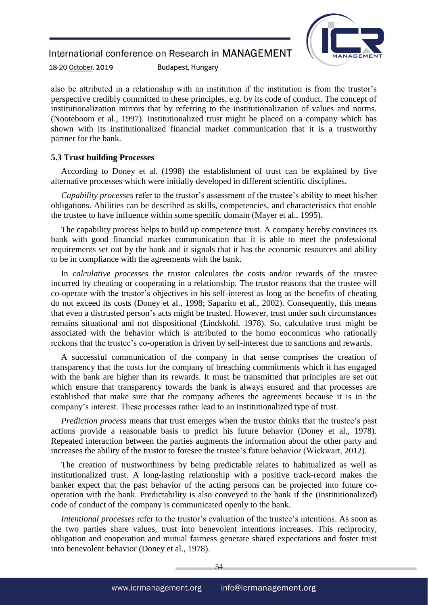**Budapest, Hungary** 



18-20 October, 2019

also be attributed in a relationship with an institution if the institution is from the trustor's perspective credibly committed to these principles, e.g. by its code of conduct. The concept of institutionalization mirrors that by referring to the institutionalization of values and norms. (Nooteboom et al., 1997). Institutionalized trust might be placed on a company which has shown with its institutionalized financial market communication that it is a trustworthy partner for the bank.

#### **5.3 Trust building Processes**

According to Doney et al. (1998) the establishment of trust can be explained by five alternative processes which were initially developed in different scientific disciplines.

*Capability processes* refer to the trustor's assessment of the trustee's ability to meet his/her obligations. Abilities can be described as skills, competencies, and characteristics that enable the trustee to have influence within some specific domain (Mayer et al., 1995).

The capability process helps to build up competence trust. A company hereby convinces its bank with good financial market communication that it is able to meet the professional requirements set out by the bank and it signals that it has the economic resources and ability to be in compliance with the agreements with the bank.

In *calculative processes* the trustor calculates the costs and/or rewards of the trustee incurred by cheating or cooperating in a relationship. The trustor reasons that the trustee will co-operate with the trustor's objectives in his self-interest as long as the benefits of cheating do not exceed its costs (Doney et al., 1998; Saparito et al., 2002). Consequently, this means that even a distrusted person's acts might be trusted. However, trust under such circumstances remains situational and not dispositional (Lindskold, 1978). So, calculative trust might be associated with the behavior which is attributed to the homo eoconmicus who rationally reckons that the trustee's co-operation is driven by self-interest due to sanctions and rewards.

A successful communication of the company in that sense comprises the creation of transparency that the costs for the company of breaching commitments which it has engaged with the bank are higher than its rewards. It must be transmitted that principles are set out which ensure that transparency towards the bank is always ensured and that processes are established that make sure that the company adheres the agreements because it is in the company's interest. These processes rather lead to an institutionalized type of trust.

*Prediction process* means that trust emerges when the trustor thinks that the trustee's past actions provide a reasonable basis to predict his future behavior (Doney et al., 1978). Repeated interaction between the parties augments the information about the other party and increases the ability of the trustor to foresee the trustee's future behavior (Wickwart, 2012).

The creation of trustworthiness by being predictable relates to habitualized as well as institutionalized trust. A long-lasting relationship with a positive track-record makes the banker expect that the past behavior of the acting persons can be projected into future cooperation with the bank. Predictability is also conveyed to the bank if the (institutionalized) code of conduct of the company is communicated openly to the bank.

*Intentional processes* refer to the trustor's evaluation of the trustee's intentions. As soon as the two parties share values, trust into benevolent intentions increases. This reciprocity, obligation and cooperation and mutual fairness generate shared expectations and foster trust into benevolent behavior (Doney et al., 1978).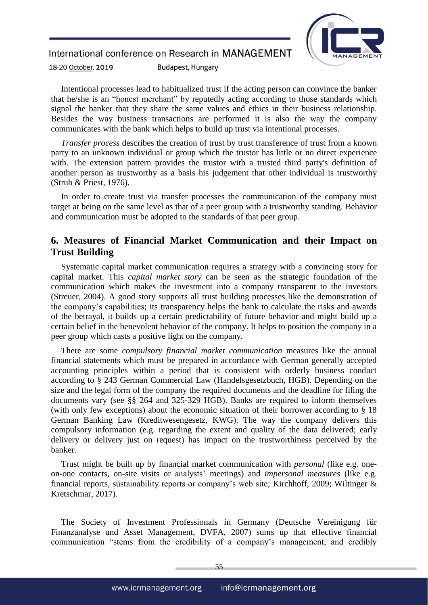## International conference on Research in MANAGEMENT **Budapest, Hungary**



18-20 October, 2019

Intentional processes lead to habitualized trust if the acting person can convince the banker that he/she is an "honest merchant" by reputedly acting according to those standards which signal the banker that they share the same values and ethics in their business relationship. Besides the way business transactions are performed it is also the way the company communicates with the bank which helps to build up trust via intentional processes.

*Transfer process* describes the creation of trust by trust transference of trust from a known party to an unknown individual or group which the trustor has little or no direct experience with. The extension pattern provides the trustor with a trusted third party's definition of another person as trustworthy as a basis his judgement that other individual is trustworthy (Strub & Priest, 1976).

In order to create trust via transfer processes the communication of the company must target at being on the same level as that of a peer group with a trustworthy standing. Behavior and communication must be adopted to the standards of that peer group.

## **6. Measures of Financial Market Communication and their Impact on Trust Building**

Systematic capital market communication requires a strategy with a convincing story for capital market. This *capital market story* can be seen as the strategic foundation of the communication which makes the investment into a company transparent to the investors (Streuer, 2004). A good story supports all trust building processes like the demonstration of the company's capabilities; its transparency helps the bank to calculate the risks and awards of the betrayal, it builds up a certain predictability of future behavior and might build up a certain belief in the benevolent behavior of the company. It helps to position the company in a peer group which casts a positive light on the company.

There are some *compulsory financial market communication* measures like the annual financial statements which must be prepared in accordance with German generally accepted accounting principles within a period that is consistent with orderly business conduct according to § 243 German Commercial Law (Handelsgesetzbuch, HGB). Depending on the size and the legal form of the company the required documents and the deadline for filing the documents vary (see §§ 264 and 325-329 HGB). Banks are required to inform themselves (with only few exceptions) about the economic situation of their borrower according to § 18 German Banking Law (Kreditwesengesetz, KWG). The way the company delivers this compulsory information (e.g. regarding the extent and quality of the data delivered; early delivery or delivery just on request) has impact on the trustworthiness perceived by the banker.

Trust might be built up by financial market communication with *personal* (like e.g. oneon-one contacts, on-site visits or analysts' meetings) and *impersonal measures* (like e.g. financial reports, sustainability reports or company's web site; Kirchhoff, 2009; Wiltinger & Kretschmar, 2017).

The Society of Investment Professionals in Germany (Deutsche Vereinigung für Finanzanalyse und Asset Management, DVFA, 2007) sums up that effective financial communication "stems from the credibility of a company's management, and credibly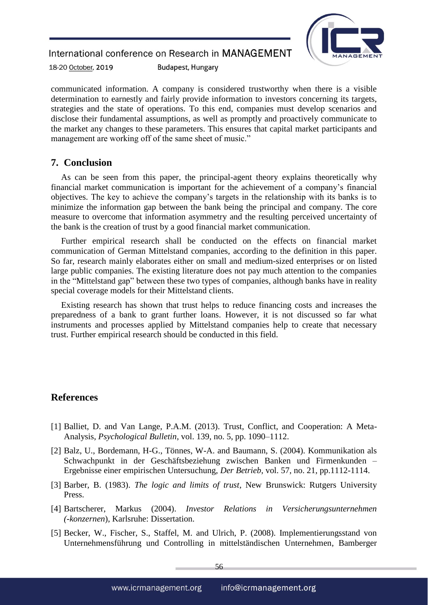

18-20 October, 2019 **Budapest, Hungary** 

communicated information. A company is considered trustworthy when there is a visible determination to earnestly and fairly provide information to investors concerning its targets, strategies and the state of operations. To this end, companies must develop scenarios and disclose their fundamental assumptions, as well as promptly and proactively communicate to the market any changes to these parameters. This ensures that capital market participants and management are working off of the same sheet of music."

## **7. Conclusion**

As can be seen from this paper, the principal-agent theory explains theoretically why financial market communication is important for the achievement of a company's financial objectives. The key to achieve the company's targets in the relationship with its banks is to minimize the information gap between the bank being the principal and company. The core measure to overcome that information asymmetry and the resulting perceived uncertainty of the bank is the creation of trust by a good financial market communication.

Further empirical research shall be conducted on the effects on financial market communication of German Mittelstand companies, according to the definition in this paper. So far, research mainly elaborates either on small and medium-sized enterprises or on listed large public companies. The existing literature does not pay much attention to the companies in the "Mittelstand gap" between these two types of companies, although banks have in reality special coverage models for their Mittelstand clients.

Existing research has shown that trust helps to reduce financing costs and increases the preparedness of a bank to grant further loans. However, it is not discussed so far what instruments and processes applied by Mittelstand companies help to create that necessary trust. Further empirical research should be conducted in this field.

## **References**

- [1] Balliet, D. and Van Lange, P.A.M. (2013). Trust, Conflict, and Cooperation: A Meta-Analysis, *Psychological Bulletin*, vol. 139, no. 5, pp. 1090–1112.
- [2] Balz, U., Bordemann, H-G., Tönnes, W-A. and Baumann, S. (2004). Kommunikation als Schwachpunkt in der Geschäftsbeziehung zwischen Banken und Firmenkunden – Ergebnisse einer empirischen Untersuchung, *Der Betrieb*, vol. 57, no. 21, pp.1112-1114.
- [3] Barber, B. (1983). *The logic and limits of trust*, New Brunswick: Rutgers University Press.
- [4] Bartscherer, Markus (2004). *Investor Relations in Versicherungsunternehmen (-konzernen*), Karlsruhe: Dissertation.
- [5] Becker, W., Fischer, S., Staffel, M. and Ulrich, P. (2008). Implementierungsstand von Unternehmensführung und Controlling in mittelständischen Unternehmen, Bamberger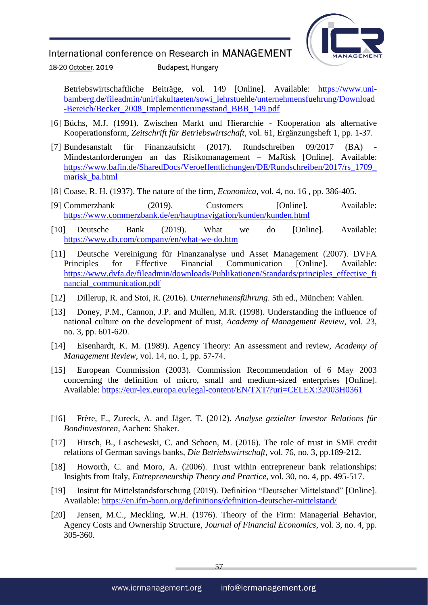

18-20 October, 2019 **Budapest, Hungary** 

Betriebswirtschaftliche Beiträge, vol. 149 [Online]. Available: [https://www.uni](https://www.uni-bamberg.de/fileadmin/uni/fakultaeten/sowi_lehrstuehle/unternehmensfuehrung/Download-Bereich/Becker_2008_Implementierungsstand_BBB_149.pdf)[bamberg.de/fileadmin/uni/fakultaeten/sowi\\_lehrstuehle/unternehmensfuehrung/Download](https://www.uni-bamberg.de/fileadmin/uni/fakultaeten/sowi_lehrstuehle/unternehmensfuehrung/Download-Bereich/Becker_2008_Implementierungsstand_BBB_149.pdf) [-Bereich/Becker\\_2008\\_Implementierungsstand\\_BBB\\_149.pdf](https://www.uni-bamberg.de/fileadmin/uni/fakultaeten/sowi_lehrstuehle/unternehmensfuehrung/Download-Bereich/Becker_2008_Implementierungsstand_BBB_149.pdf)

- [6] Büchs, M.J. (1991). Zwischen Markt und Hierarchie Kooperation als alternative Kooperationsform, *Zeitschrift für Betriebswirtschaft*, vol. 61, Ergänzungsheft 1, pp. 1-37.
- [7] Bundesanstalt für Finanzaufsicht (2017). Rundschreiben 09/2017 (BA) Mindestanforderungen an das Risikomanagement – MaRisk [Online]. Available: [https://www.bafin.de/SharedDocs/Veroeffentlichungen/DE/Rundschreiben/2017/rs\\_1709\\_](https://www.bafin.de/SharedDocs/Veroeffentlichungen/DE/Rundschreiben/2017/rs_1709_marisk_ba.html) [marisk\\_ba.html](https://www.bafin.de/SharedDocs/Veroeffentlichungen/DE/Rundschreiben/2017/rs_1709_marisk_ba.html)
- [8] Coase, R. H. (1937). The nature of the firm, *Economica*, vol. 4, no. 16 , pp. 386-405.
- [9] Commerzbank (2019). Customers [Online]. Available: <https://www.commerzbank.de/en/hauptnavigation/kunden/kunden.html>
- [10] Deutsche Bank (2019). What we do [Online]. Available: <https://www.db.com/company/en/what-we-do.htm>
- [11] Deutsche Vereinigung für Finanzanalyse und Asset Management (2007). DVFA Principles for Effective Financial Communication [Online]. Available: [https://www.dvfa.de/fileadmin/downloads/Publikationen/Standards/principles\\_effective\\_fi](https://www.dvfa.de/fileadmin/downloads/Publikationen/Standards/principles_effective_financial_communication.pdf) [nancial\\_communication.pdf](https://www.dvfa.de/fileadmin/downloads/Publikationen/Standards/principles_effective_financial_communication.pdf)
- [12] Dillerup, R. and Stoi, R. (2016). *Unternehmensführung*. 5th ed., München: Vahlen.
- [13] Doney, P.M., Cannon, J.P. and Mullen, M.R. (1998). Understanding the influence of national culture on the development of trust, *Academy of Management Review*, vol. 23, no. 3, pp. 601-620.
- [14] Eisenhardt, K. M. (1989). Agency Theory: An assessment and review, *Academy of Management Review*, vol. 14, no. 1, pp. 57-74.
- [15] European Commission (2003). Commission Recommendation of 6 May 2003 concerning the definition of micro, small and medium-sized enterprises [Online]. Available:<https://eur-lex.europa.eu/legal-content/EN/TXT/?uri=CELEX:32003H0361>
- [16] Frère, E., Zureck, A. and Jäger, T. (2012). *Analyse gezielter Investor Relations für Bondinvestoren*, Aachen: Shaker.
- [17] Hirsch, B., Laschewski, C. and Schoen, M. (2016). The role of trust in SME credit relations of German savings banks, *Die Betriebswirtschaft*, vol. 76, no. 3, pp.189-212.
- [18] Howorth, C. and Moro, A. (2006). Trust within entrepreneur bank relationships: Insights from Italy, *Entrepreneurship Theory and Practice*, vol. 30, no. 4, pp. 495-517.
- [19] Insitut für Mittelstandsforschung (2019). Definition "Deutscher Mittelstand" [Online]. Available:<https://en.ifm-bonn.org/definitions/definition-deutscher-mittelstand/>
- [20] Jensen, M.C., Meckling, W.H. (1976). Theory of the Firm: Managerial Behavior, Agency Costs and Ownership Structure, *Journal of Financial Economics*, vol. 3, no. 4, pp. 305-360.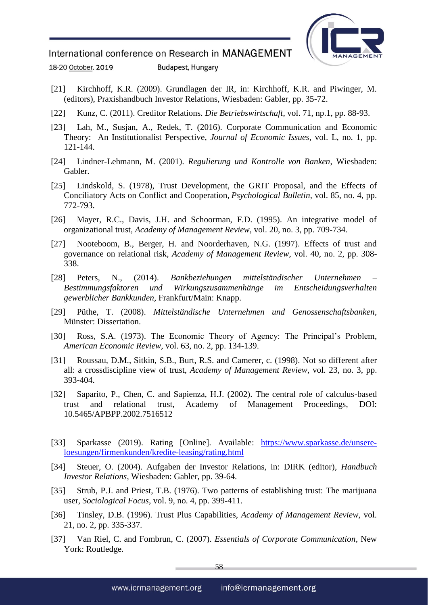

18-20 October, 2019 **Budapest, Hungary** 

- [21] Kirchhoff, K.R. (2009). Grundlagen der IR, in: Kirchhoff, K.R. and Piwinger, M. (editors), Praxishandbuch Investor Relations, Wiesbaden: Gabler, pp. 35-72.
- [22] Kunz, C. (2011). Creditor Relations. *Die Betriebswirtschaft*, vol. 71, np.1, pp. 88-93.
- [23] Lah, M., Susjan, A., Redek, T. (2016). Corporate Communication and Economic Theory: An Institutionalist Perspective, *Journal of Economic Issues*, vol. L, no. 1, pp. 121-144.
- [24] Lindner-Lehmann, M. (2001). *Regulierung und Kontrolle von Banken*, Wiesbaden: Gabler.
- [25] Lindskold, S. (1978), Trust Development, the GRIT Proposal, and the Effects of Conciliatory Acts on Conflict and Cooperation, *Psychological Bulletin*, vol. 85, no. 4, pp. 772-793.
- [26] Mayer, R.C., Davis, J.H. and Schoorman, F.D. (1995). An integrative model of organizational trust, *Academy of Management Review*, vol. 20, no. 3, pp. 709-734.
- [27] Nooteboom, B., Berger, H. and Noorderhaven, N.G. (1997). Effects of trust and governance on relational risk, *Academy of Management Review*, vol. 40, no. 2, pp. 308- 338.
- [28] Peters, N., (2014). *Bankbeziehungen mittelständischer Unternehmen – Bestimmungsfaktoren und Wirkungszusammenhänge im Entscheidungsverhalten gewerblicher Bankkunden,* Frankfurt/Main: Knapp.
- [29] Püthe, T. (2008). *Mittelständische Unternehmen und Genossenschaftsbanken*, Münster: Dissertation.
- [30] Ross, S.A. (1973). The Economic Theory of Agency: The Principal's Problem, *American Economic Review*, vol. 63, no. 2, pp. 134-139.
- [31] Roussau, D.M., Sitkin, S.B., Burt, R.S. and Camerer, c. (1998). Not so different after all: a crossdiscipline view of trust, *Academy of Management Review*, vol. 23, no. 3, pp. 393-404.
- [32] Saparito, P., Chen, C. and Sapienza, H.J. (2002). The central role of calculus-based trust and relational trust, Academy of Management Proceedings, DOI: 10.5465/APBPP.2002.7516512
- [33] Sparkasse (2019). Rating [Online]. Available: [https://www.sparkasse.de/unsere](https://www.sparkasse.de/unsere-loesungen/firmenkunden/kredite-leasing/rating.html)[loesungen/firmenkunden/kredite-leasing/rating.html](https://www.sparkasse.de/unsere-loesungen/firmenkunden/kredite-leasing/rating.html)
- [34] Steuer, O. (2004). Aufgaben der Investor Relations, in: DIRK (editor), *Handbuch Investor Relations*, Wiesbaden: Gabler, pp. 39-64.
- [35] Strub, P.J. and Priest, T.B. (1976). Two patterns of establishing trust: The marijuana user, *Sociological Focus*, vol. 9, no. 4, pp. 399-411.
- [36] Tinsley, D.B. (1996). Trust Plus Capabilities, *Academy of Management Review*, vol. 21, no. 2, pp. 335-337.
- [37] Van Riel, C. and Fombrun, C. (2007). *Essentials of Corporate Communication,* New York: Routledge.